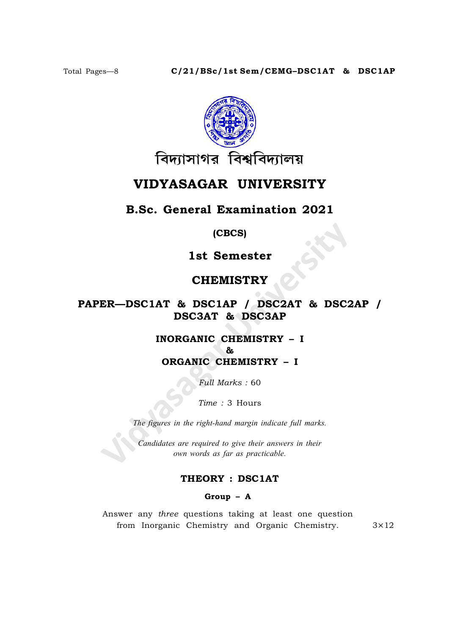

# VIDYASAGAR UNIVERSITY

## **B.Sc. General Examination 2021**

 $(CECS)$ 

1st Semester

## **CHEMISTRY**

## PAPER-DSC1AT & DSC1AP / DSC2AT & DSC2AP / **DSC3AT & DSC3AP**

## **INORGANIC CHEMISTRY - I**  $R_{L}$ **ORGANIC CHEMISTRY - I**

Full Marks: 60

Time: 3 Hours

The figures in the right-hand margin indicate full marks.

Candidates are required to give their answers in their own words as far as practicable.

## THEORY : DSC1AT

### Group  $-$  A

Answer any three questions taking at least one question from Inorganic Chemistry and Organic Chemistry.

 $3\times12$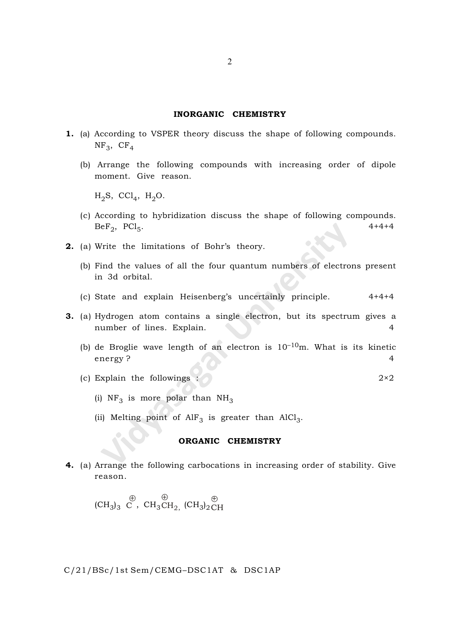#### INORGANIC CHEMISTRY

- 1. (a) According to VSPER theory discuss the shape of following compounds.  $NF<sub>3</sub>$ ,  $CF<sub>4</sub>$ 
	- (b) Arrange the following compounds with increasing order of dipole moment. Give reason.

 $_{\rm H_2}$ S, CCl<sub>4</sub>, H<sub>2</sub>O.

- (c) According to hybridization discuss the shape of following compounds.  $\mathrm{BeF}_2$ ,  $\mathrm{PCl}_5$ .  $4+4+4$
- 2. (a) Write the limitations of Bohr's theory.
	- (b) Find the values of all the four quantum numbers of electrons present in 3d orbital.
	- (c) State and explain Heisenberg's uncertainly principle. 4+4+4
- 3. (a) Hydrogen atom contains a single electron, but its spectrum gives a number of lines. Explain. 4
	- (b) de Broglie wave length of an electron is  $10^{-10}$ m. What is its kinetic energy ? 4
	- (c) Explain the followings :  $2 \times 2$ 
		- (i)  $NF_3$  is more polar than  $NH_3$
		- (ii) Melting point of  $\mathrm{AlF}_3$  is greater than  $\mathrm{AlCl}_3$ .

#### ORGANIC CHEMISTRY

4. (a) Arrange the following carbocations in increasing order of stability. Give reason.

 $\text{CH}_3$ <sub>3</sub> C  $\oplus$ ,  $CH_3CH_2$  $\oplus$  $_{\rm ,\;}$  (CH<sub>3</sub>)<sub>2</sub> CH

C/21/BSc/1st Sem/CEMG–DSC1AT & DSC1AP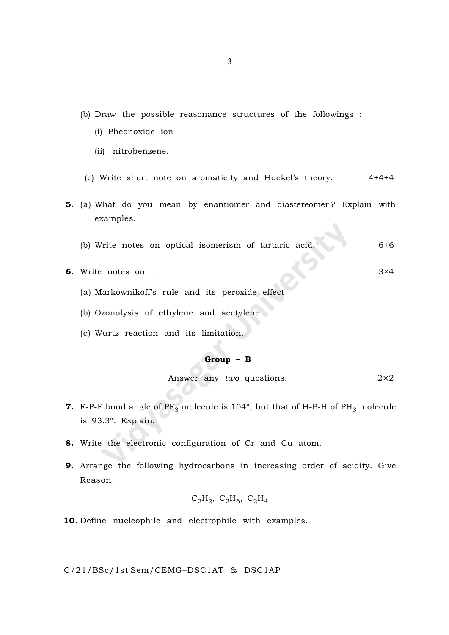- (b) Draw the possible reasonance structures of the followings :
	- (i) Pheonoxide ion
	- (ii) nitrobenzene.
	- (c) Write short note on aromaticity and Huckel's theory.  $4+4+4$
- 5. (a) What do you mean by enantiomer and diastereomer ? Explain with examples.
	- (b) Write notes on optical isomerism of tartaric acid. 6+6
- 6. Write notes on : 3×4
	- (a) Markownikoff's rule and its peroxide effect
	- (b) Ozonolysis of ethylene and aectylene
	- (c) Wurtz reaction and its limitation.

#### Group – B

Answer any two questions.  $2 \times 2$ 

- **7.** F-P-F bond angle of  $PF_3$  molecule is 104°, but that of H-P-H of PH<sub>3</sub> molecule is 93.3°. Explain.
- 8. Write the electronic configuration of Cr and Cu atom.
- 9. Arrange the following hydrocarbons in increasing order of acidity. Give Reason.

$$
C_2H_2
$$
,  $C_2H_6$ ,  $C_2H_4$ 

10. Define nucleophile and electrophile with examples.

C/21/BSc/1st Sem/CEMG–DSC1AT & DSC1AP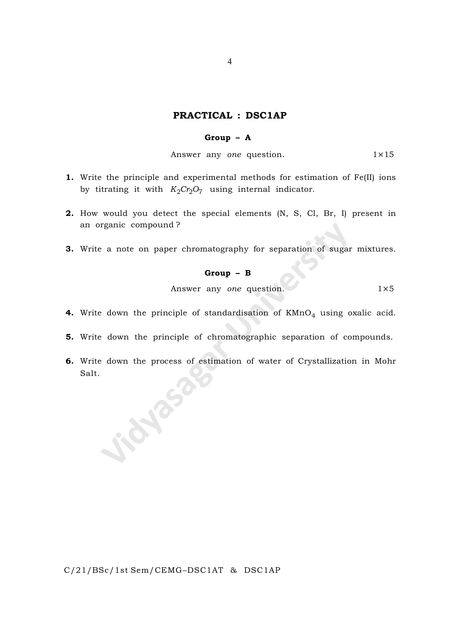### PRACTICAL : DSC1AP

#### Group – A

Answer any one question.  $1 \times 15$ 

- 1. Write the principle and experimental methods for estimation of Fe(II) ions by titrating it with  $K_2Cr_2O_7$  using internal indicator.
- 2. How would you detect the special elements (N, S, Cl, Br, I) present in an organic compound ?
- 3. Write a note on paper chromatography for separation of sugar mixtures.

# Group – B

Answer any one question. 1×5

- **4.** Write down the principle of standardisation of  $\mathtt{KMnO}_4$  using oxalic acid.
- 5. Write down the principle of chromatographic separation of compounds.
- 6. Write down the process of estimation of water of Crystallization in Mohr Salt.SIL TON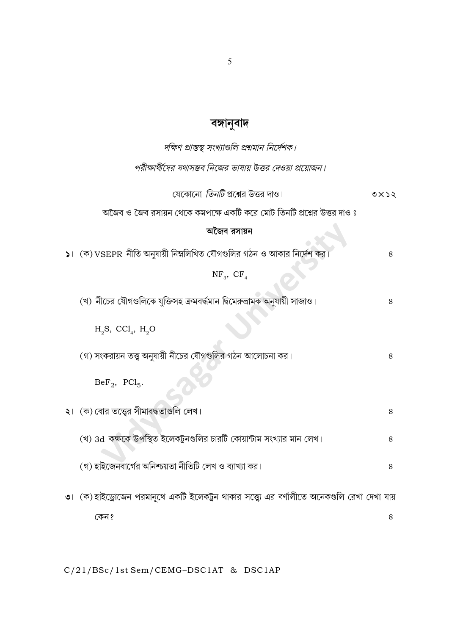# বঙ্গানুবাদ

| দক্ষিণ প্রান্তস্থ সংখ্যাগুলি প্রশ্নমান নির্দেশক।                                              |    |
|-----------------------------------------------------------------------------------------------|----|
| পরীক্ষার্থীদের যথাসম্ভব নিজের ভাষায় উত্তর দেওয়া প্রয়োজন।                                   |    |
| যেকোনো <i>তিনটি</i> প্রশ্নের উত্তর দাও।                                                       | 9x |
| অজৈব ও জৈব রসায়ন থেকে কমপক্ষে একটি করে মোট তিনটি প্রশ্নের উত্তর দাও ঃ                        |    |
| অজৈব রসায়ন                                                                                   |    |
| ১। $($ ক) VSEPR নীতি অনুযায়ী নিম্নলিখিত যৌগগুলির গঠন ও আকার নির্দেশ কর                       | 8  |
| $NF_{3}$ , $CF_{4}$                                                                           |    |
| (খ) নীচের যৌগগুলিকে যুক্তিসহ ক্রমবর্দ্ধমান দ্বিমেরুভ্রামক অনুযায়ী সাজাও।                     | 8  |
| $H_2S$ , CCl <sub>4</sub> , $H_2O$                                                            |    |
| (গ) সংকরায়ন তত্ত্ব অনুযায়ী নীচের যৌগগুলির গঠন আলোচনা কর।                                    | 8  |
| $BeF_2$ , $PCl_5$ .                                                                           |    |
| ২। (ক) বোর তত্ত্বের সীমাবদ্ধতাগুলি লেখ।                                                       | 8  |
| (খ) 3d  কক্ষকে উপস্থিত ইলেকট্রনগুলির চারটি কোয়ান্টাম সংখ্যার মান লেখ।                        | 8  |
| (গ) হাইজেনবার্গের অনিশ্চয়তা নীতিটি লেখ ও ব্যাখ্যা কর।                                        | 8  |
| ৩। (ক) হাইড্রোজেন পরমানুথে একটি ইলেকট্রন থাকার সত্ত্ব্যে এর বর্ণালীতে অনেকগুলি রেখা দেখা যায় |    |
| কেন ?                                                                                         | 8  |

 $C/21/BSc/1st$  Sem/CEMG-DSC1AT & DSC1AP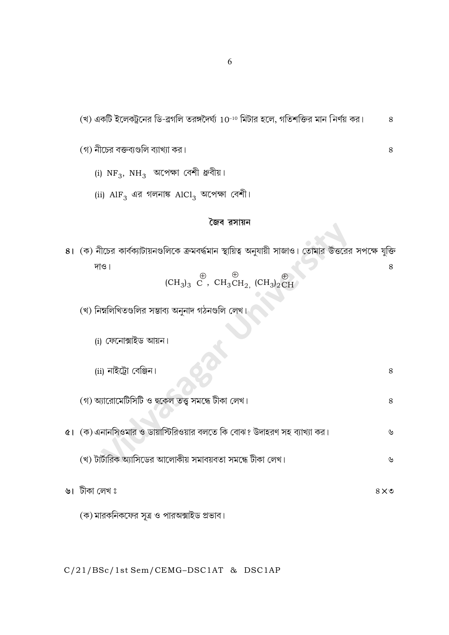(খ) একটি ইলেকট্রনের ডি-ব্রগলি তরঙ্গদৈর্ঘ্য 10<sup>-10</sup> মিটার হলে, গতিশক্তির মান নির্ণয় কর।  $\,8$ 

8

- (গ) নীচের বক্তব্যগুলি ব্যাখ্যা কর।
	- (i)  $NF_3$ ,  $NH_3$  অপেক্ষা বেশী ধ্রুবীয়।
	- (ii)  $\mathrm{AlF}_3$  এর গলনাঙ্ক  $\mathrm{AlCl}_3$  অপেক্ষা বেশী।

#### জৈব রসায়ন

৪। (ক) নীচের কার্বক্যাটায়নগুলিকে ক্রমবর্দ্ধমান স্থায়িত্ব অনুযায়ী সাজাও। তোমার উত্তরের সপক্ষে যুক্তি দাও। 8  $(\text{CH}_3)_3 \stackrel{\bigoplus}{\text{C}}$ ,  $\text{CH}_3\text{CH}_2$ ,  $(\text{CH}_3)_2\stackrel{\bigoplus}{\text{CH}}$ (খ) নিম্নলিখিতগুলির সম্ভাব্য অনুনাদ গঠনগুলি লেখ। (i) ফেনোক্সাইড আয়ন। (ii) নাইট্রো বেঞ্জিন।  $8\,$ (গ) অ্যারোমেটিসিটি ও হুকেল তত্ত্ব সমন্ধে টীকা লেখ। 8  $\alpha$ । (ক) এনানসিওমার ও ডায়াস্টিরিওয়ার বলতে কি বোঝ? উদাহরণ সহ ব্যাখ্যা কর। ৬ (খ) টার্টারিক অ্যাসিডের আলোকীয় সমাবয়বতা সমন্ধে টীকা লেখ।  $\mathcal{V}$ ৬। টীকা লেখ ঃ  $8\times 9$ (ক) মারকনিকফের সূত্র ও পারঅক্সাইড প্রভাব।

C/21/BSc/1st Sem/CEMG-DSC1AT & DSC1AP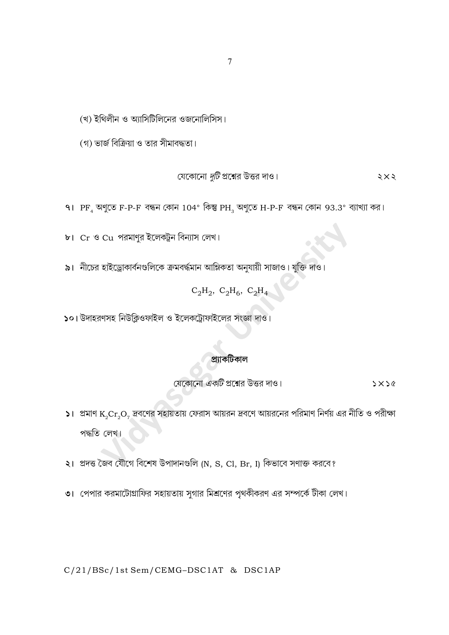## C/21/BSc/1st Sem/CEMG-DSC1AT & DSC1AP

- ৩। পেপার করমাটোগ্রাফির সহায়তায় সুগার মিশ্রণের পৃথকীকরণ এর সম্পর্কে টীকা লেখ।
- ২। প্রদত্ত জৈব যৌগে বিশেষ উপাদানগুলি (N, S, Cl, Br, I) কিভাবে সণাক্ত করবে?
- $\mathsf{S}$ । প্রমাণ  $\mathrm{K}_2\mathrm{Cr}_2\mathrm{O}_7$  দ্রবণের সহায়তায় ফেরাস আয়রন দ্রবণে আয়রনের পরিমাণ নির্ণয় এর নীতি ও পরীক্ষা পদ্ধতি লেখ।

প্ৰাাকটিকাল

- যেকোনো *একটি* প্রশ্নের উত্তর দাও।  $5x56$
- ১০। উদাহরণসহ নিউক্লিওফাইল ও ইলেকট্রোফাইলের সংজ্ঞা দাও।

# $C_2H_2$ ,  $C_2H_6$ ,  $C_2H_4$

৯। নীচের হাইড্রোকার্বনগুলিকে ক্রমবর্দ্ধমান আম্লিকতা অনুযায়ী সাজাও। যুক্তি দাও।

৮। Cr ও Cu পরমাণুর ইলেকট্রন বিন্যাস লেখ।

91  $\rm{PF}_{_{4}}$  অণুতে F-P-F বন্ধন কোন  $104^{\circ}$  কিন্তু  $\rm{PH}_{_{3}}$  অণুতে H-P-F বন্ধন কোন 93.3° ব্যাখ্যা কর।

 $5 \times 5$ 

যেকোনো *দুটি* প্রশ্নের উত্তর দাও।

(গ) ভার্জ বিক্রিয়া ও তার সীমাবদ্ধতা।

(খ) ইথিলীন ও অ্যাসিটিলিনের ওজনোলিসিস।